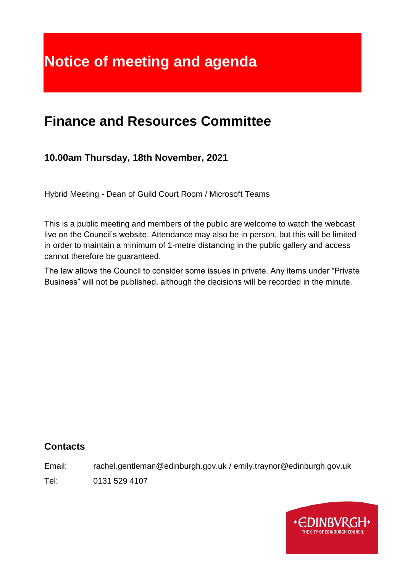# **Notice of meeting and agenda**

# **Finance and Resources Committee**

# **10.00am Thursday, 18th November, 2021**

Hybrid Meeting - Dean of Guild Court Room / Microsoft Teams

This is a public meeting and members of the public are welcome to watch the webcast live on the Council's website. Attendance may also be in person, but this will be limited in order to maintain a minimum of 1-metre distancing in the public gallery and access cannot therefore be guaranteed.

The law allows the Council to consider some issues in private. Any items under "Private Business" will not be published, although the decisions will be recorded in the minute.

# **Contacts**

Email: rachel.gentleman@edinburgh.gov.uk / emily.traynor@edinburgh.gov.uk Tel: 0131 529 4107

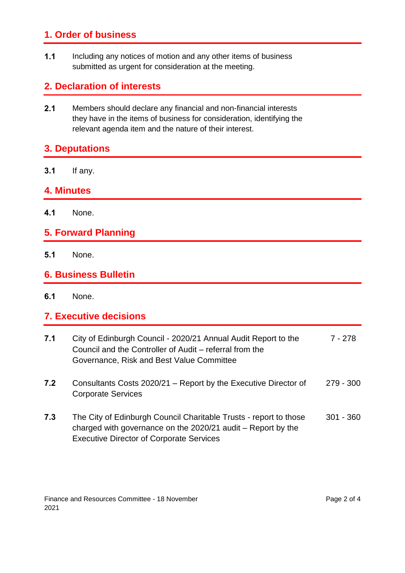# **1. Order of business**

**1.1** Including any notices of motion and any other items of business submitted as urgent for consideration at the meeting.

## **2. Declaration of interests**

**2.1** Members should declare any financial and non-financial interests they have in the items of business for consideration, identifying the relevant agenda item and the nature of their interest.

# **3. Deputations**

**3.1** If any.

#### **4. Minutes**

**4.1** None.

## **5. Forward Planning**

**5.1** None.

#### **6. Business Bulletin**

**6.1** None.

#### **7. Executive decisions**

| 7.1 | City of Edinburgh Council - 2020/21 Annual Audit Report to the<br>Council and the Controller of Audit – referral from the<br>Governance, Risk and Best Value Committee               | 7 - 278     |
|-----|--------------------------------------------------------------------------------------------------------------------------------------------------------------------------------------|-------------|
| 7.2 | Consultants Costs 2020/21 – Report by the Executive Director of<br><b>Corporate Services</b>                                                                                         | $279 - 300$ |
| 7.3 | The City of Edinburgh Council Charitable Trusts - report to those<br>charged with governance on the 2020/21 audit – Report by the<br><b>Executive Director of Corporate Services</b> | $301 - 360$ |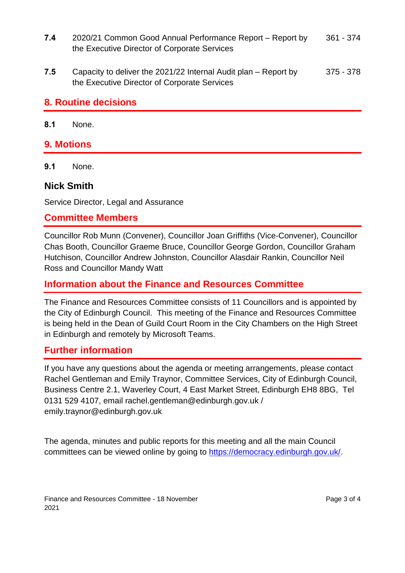- **7.4** 2020/21 Common Good Annual Performance Report Report by the Executive Director of Corporate Services 361 - 374
- **7.5** Capacity to deliver the 2021/22 Internal Audit plan Report by the Executive Director of Corporate Services 375 - 378

#### **8. Routine decisions**

**8.1** None.

#### **9. Motions**

**9.1** None.

#### **Nick Smith**

Service Director, Legal and Assurance

#### **Committee Members**

Councillor Rob Munn (Convener), Councillor Joan Griffiths (Vice-Convener), Councillor Chas Booth, Councillor Graeme Bruce, Councillor George Gordon, Councillor Graham Hutchison, Councillor Andrew Johnston, Councillor Alasdair Rankin, Councillor Neil Ross and Councillor Mandy Watt

#### **Information about the Finance and Resources Committee**

The Finance and Resources Committee consists of 11 Councillors and is appointed by the City of Edinburgh Council. This meeting of the Finance and Resources Committee is being held in the Dean of Guild Court Room in the City Chambers on the High Street in Edinburgh and remotely by Microsoft Teams.

#### **Further information**

If you have any questions about the agenda or meeting arrangements, please contact Rachel Gentleman and Emily Traynor, Committee Services, City of Edinburgh Council, Business Centre 2.1, Waverley Court, 4 East Market Street, Edinburgh EH8 8BG, Tel 0131 529 4107, email rachel.gentleman@edinburgh.gov.uk / emily.traynor@edinburgh.gov.uk

The agenda, minutes and public reports for this meeting and all the main Council committees can be viewed online by going to [https://democracy.edinburgh.gov.uk/.](https://democracy.edinburgh.gov.uk/)